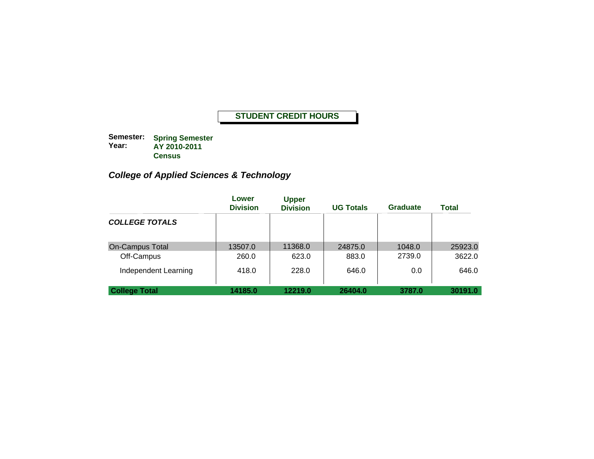**Semester: Year: Spring Semester AY 2010-2011 Census**

# *College of Applied Sciences & Technology*

|                        | Lower<br><b>Division</b> | <b>Upper</b><br><b>Division</b> | <b>UG Totals</b> | <b>Graduate</b> | Total   |
|------------------------|--------------------------|---------------------------------|------------------|-----------------|---------|
| <b>COLLEGE TOTALS</b>  |                          |                                 |                  |                 |         |
| <b>On-Campus Total</b> | 13507.0                  | 11368.0                         | 24875.0          | 1048.0          | 25923.0 |
| Off-Campus             | 260.0                    | 623.0                           | 883.0            | 2739.0          | 3622.0  |
| Independent Learning   | 418.0                    | 228.0                           | 646.0            | 0.0             | 646.0   |
| <b>College Total</b>   | 14185.0                  | 12219.0                         | 26404.0          | 3787.0          | 30191.0 |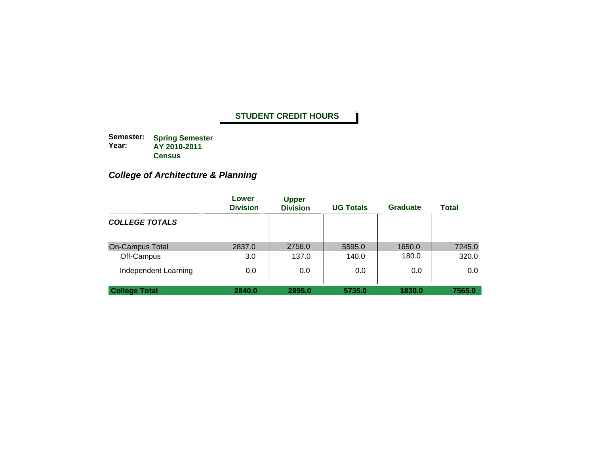**Semester: Year: Spring Semester AY 2010-2011 Census**

# *College of Architecture & Planning*

|                        | Lower<br><b>Division</b> | <b>Upper</b><br><b>Division</b> | <b>UG Totals</b> | <b>Graduate</b> | <b>Total</b> |
|------------------------|--------------------------|---------------------------------|------------------|-----------------|--------------|
| <b>COLLEGE TOTALS</b>  |                          |                                 |                  |                 |              |
| <b>On-Campus Total</b> | 2837.0                   | 2758.0                          | 5595.0           | 1650.0          | 7245.0       |
| Off-Campus             | 3.0                      | 137.0                           | 140.0            | 180.0           | 320.0        |
| Independent Learning   | 0.0                      | 0.0                             | 0.0              | 0.0             | 0.0          |
| <b>College Total</b>   | 2840.0                   | 2895.0                          | 5735.0           | 1830.0          | 7565.0       |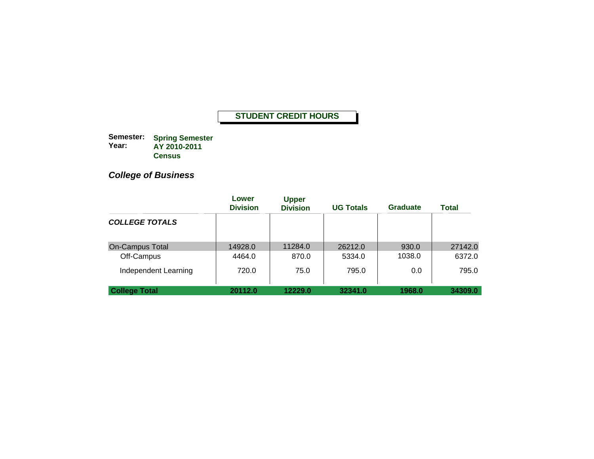**Semester: Year: Spring Semester AY 2010-2011 Census**

# *College of Business*

|                        | Lower<br><b>Division</b> | <b>Upper</b><br><b>Division</b> | <b>UG Totals</b> | <b>Graduate</b> | Total   |
|------------------------|--------------------------|---------------------------------|------------------|-----------------|---------|
| <b>COLLEGE TOTALS</b>  |                          |                                 |                  |                 |         |
| <b>On-Campus Total</b> | 14928.0                  | 11284.0                         | 26212.0          | 930.0           | 27142.0 |
| Off-Campus             | 4464.0                   | 870.0                           | 5334.0           | 1038.0          | 6372.0  |
| Independent Learning   | 720.0                    | 75.0                            | 795.0            | 0.0             | 795.0   |
| <b>College Total</b>   | 20112.0                  | 12229.0                         | 32341.0          | 1968.0          | 34309.0 |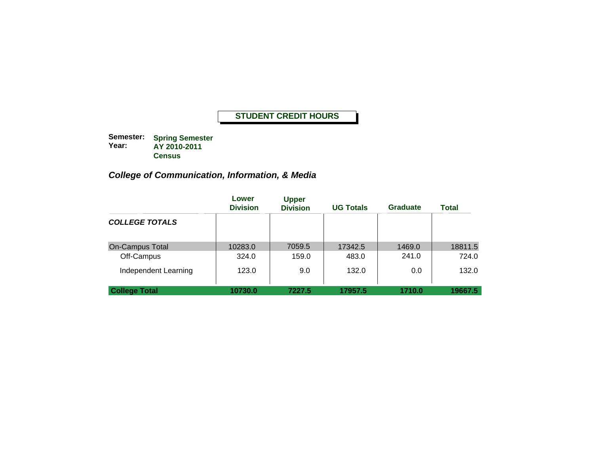**Semester: Year: Spring Semester AY 2010-2011 Census**

# *College of Communication, Information, & Media*

|                        | Lower<br><b>Division</b> | <b>Upper</b><br><b>Division</b> | <b>UG Totals</b> | <b>Graduate</b> | <b>Total</b> |
|------------------------|--------------------------|---------------------------------|------------------|-----------------|--------------|
| <b>COLLEGE TOTALS</b>  |                          |                                 |                  |                 |              |
| <b>On-Campus Total</b> | 10283.0                  | 7059.5                          | 17342.5          | 1469.0          | 18811.5      |
| Off-Campus             | 324.0                    | 159.0                           | 483.0            | 241.0           | 724.0        |
| Independent Learning   | 123.0                    | 9.0                             | 132.0            | 0.0             | 132.0        |
| <b>College Total</b>   | 10730.0                  | 7227.5                          | 17957.5          | 1710.0          | 19667.5      |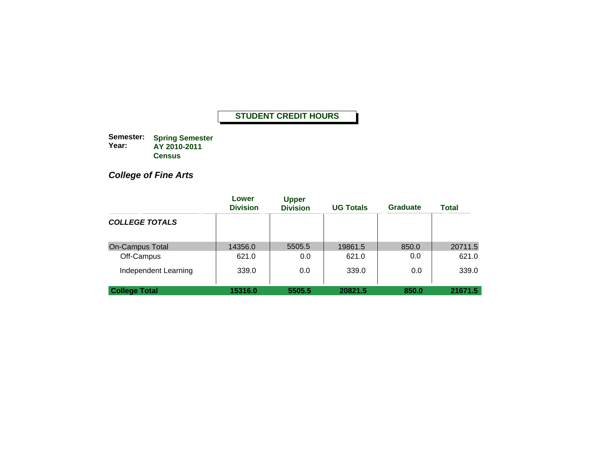**Semester: Year: Spring Semester AY 2010-2011 Census**

*College of Fine Arts*

|                        | Lower<br><b>Division</b> | <b>Upper</b><br><b>Division</b> | <b>UG Totals</b> | <b>Graduate</b> | <b>Total</b> |
|------------------------|--------------------------|---------------------------------|------------------|-----------------|--------------|
| <b>COLLEGE TOTALS</b>  |                          |                                 |                  |                 |              |
| <b>On-Campus Total</b> | 14356.0                  | 5505.5                          | 19861.5          | 850.0           | 20711.5      |
| Off-Campus             | 621.0                    | 0.0                             | 621.0            | 0.0             | 621.0        |
| Independent Learning   | 339.0                    | 0.0                             | 339.0            | 0.0             | 339.0        |
| <b>College Total</b>   | 15316.0                  | 5505.5                          | 20821.5          | 850.0           | 21671.5      |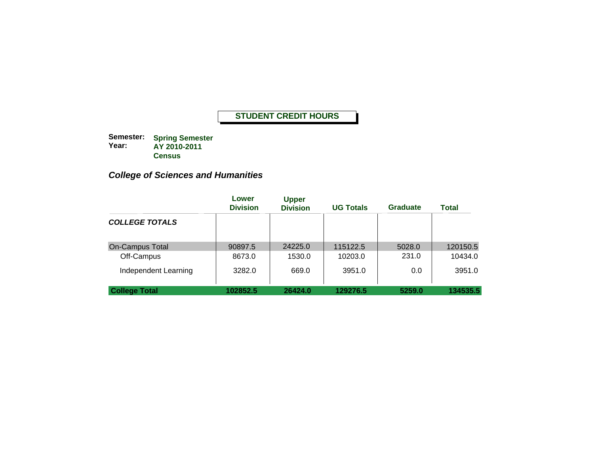**Semester: Year: Spring Semester AY 2010-2011 Census**

# *College of Sciences and Humanities*

|                        | Lower<br><b>Division</b> | <b>Upper</b><br><b>Division</b> | <b>UG Totals</b> | <b>Graduate</b> | <b>Total</b> |
|------------------------|--------------------------|---------------------------------|------------------|-----------------|--------------|
| <b>COLLEGE TOTALS</b>  |                          |                                 |                  |                 |              |
| <b>On-Campus Total</b> | 90897.5                  | 24225.0                         | 115122.5         | 5028.0          | 120150.5     |
| Off-Campus             | 8673.0                   | 1530.0                          | 10203.0          | 231.0           | 10434.0      |
| Independent Learning   | 3282.0                   | 669.0                           | 3951.0           | 0.0             | 3951.0       |
| <b>College Total</b>   | 102852.5                 | 26424.0                         | 129276.5         | 5259.0          | 134535.5     |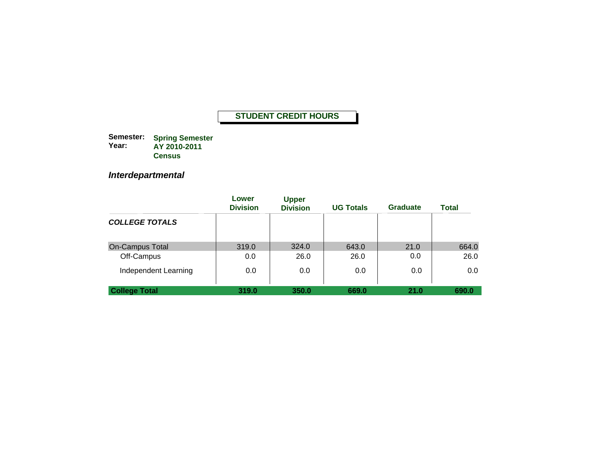**Semester: Year: Spring Semester AY 2010-2011 Census**

*Interdepartmental*

|                        | Lower<br><b>Division</b> | <b>Upper</b><br><b>Division</b> | <b>UG Totals</b> | <b>Graduate</b> | <b>Total</b> |
|------------------------|--------------------------|---------------------------------|------------------|-----------------|--------------|
| <b>COLLEGE TOTALS</b>  |                          |                                 |                  |                 |              |
| <b>On-Campus Total</b> | 319.0                    | 324.0                           | 643.0            | 21.0            | 664.0        |
| Off-Campus             | 0.0                      | 26.0                            | 26.0             | 0.0             | 26.0         |
| Independent Learning   | 0.0                      | 0.0                             | 0.0              | 0.0             | 0.0          |
| <b>College Total</b>   | 319.0                    | 350.0                           | 669.0            | 21.0            | 690.0        |